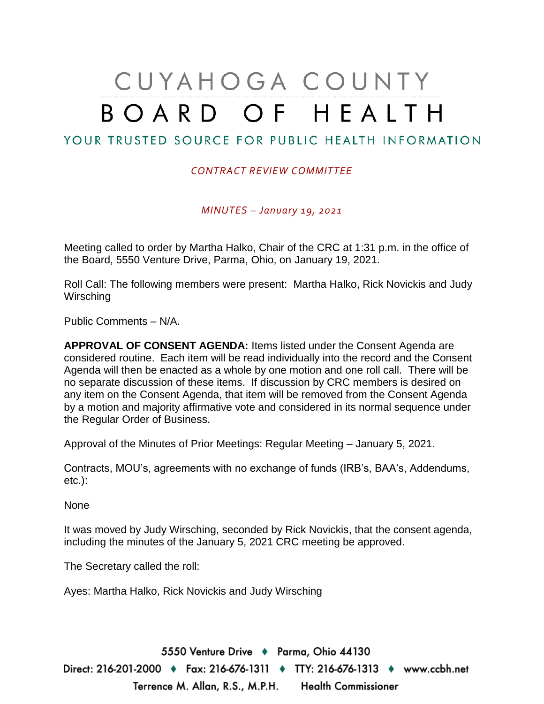## CUYAHOGA COUNTY BOARD OF HEALTH

## YOUR TRUSTED SOURCE FOR PUBLIC HEALTH INFORMATION

## *CONTRACT REVIEW COMMITTEE*

*MINUTES – January 19, 2021*

Meeting called to order by Martha Halko, Chair of the CRC at 1:31 p.m. in the office of the Board, 5550 Venture Drive, Parma, Ohio, on January 19, 2021.

Roll Call: The following members were present: Martha Halko, Rick Novickis and Judy **Wirsching** 

Public Comments – N/A.

**APPROVAL OF CONSENT AGENDA:** Items listed under the Consent Agenda are considered routine. Each item will be read individually into the record and the Consent Agenda will then be enacted as a whole by one motion and one roll call. There will be no separate discussion of these items. If discussion by CRC members is desired on any item on the Consent Agenda, that item will be removed from the Consent Agenda by a motion and majority affirmative vote and considered in its normal sequence under the Regular Order of Business.

Approval of the Minutes of Prior Meetings: Regular Meeting – January 5, 2021.

Contracts, MOU's, agreements with no exchange of funds (IRB's, BAA's, Addendums, etc.):

None

It was moved by Judy Wirsching, seconded by Rick Novickis, that the consent agenda, including the minutes of the January 5, 2021 CRC meeting be approved.

The Secretary called the roll:

Ayes: Martha Halko, Rick Novickis and Judy Wirsching

5550 Venture Drive + Parma, Ohio 44130 Direct: 216-201-2000 ♦ Fax: 216-676-1311 ♦ TTY: 216-676-1313 ♦ www.ccbh.net Terrence M. Allan, R.S., M.P.H. Health Commissioner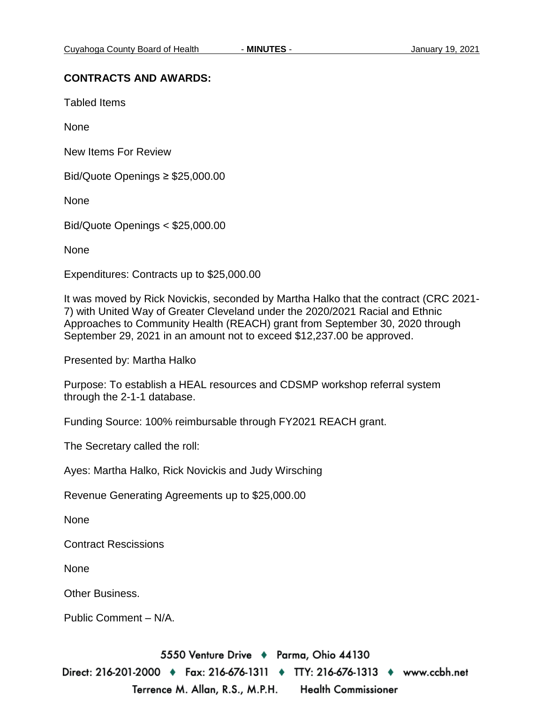## **CONTRACTS AND AWARDS:**

Tabled Items

None

New Items For Review

Bid/Quote Openings ≥ \$25,000.00

None

Bid/Quote Openings < \$25,000.00

None

Expenditures: Contracts up to \$25,000.00

It was moved by Rick Novickis, seconded by Martha Halko that the contract (CRC 2021- 7) with United Way of Greater Cleveland under the 2020/2021 Racial and Ethnic Approaches to Community Health (REACH) grant from September 30, 2020 through September 29, 2021 in an amount not to exceed \$12,237.00 be approved.

Presented by: Martha Halko

Purpose: To establish a HEAL resources and CDSMP workshop referral system through the 2-1-1 database.

Funding Source: 100% reimbursable through FY2021 REACH grant.

The Secretary called the roll:

Ayes: Martha Halko, Rick Novickis and Judy Wirsching

Revenue Generating Agreements up to \$25,000.00

None

Contract Rescissions

None

Other Business.

Public Comment – N/A.

5550 Venture Drive + Parma, Ohio 44130 Direct: 216-201-2000 ♦ Fax: 216-676-1311 ♦ TTY: 216-676-1313 ♦ www.ccbh.net Terrence M. Allan, R.S., M.P.H. **Health Commissioner**